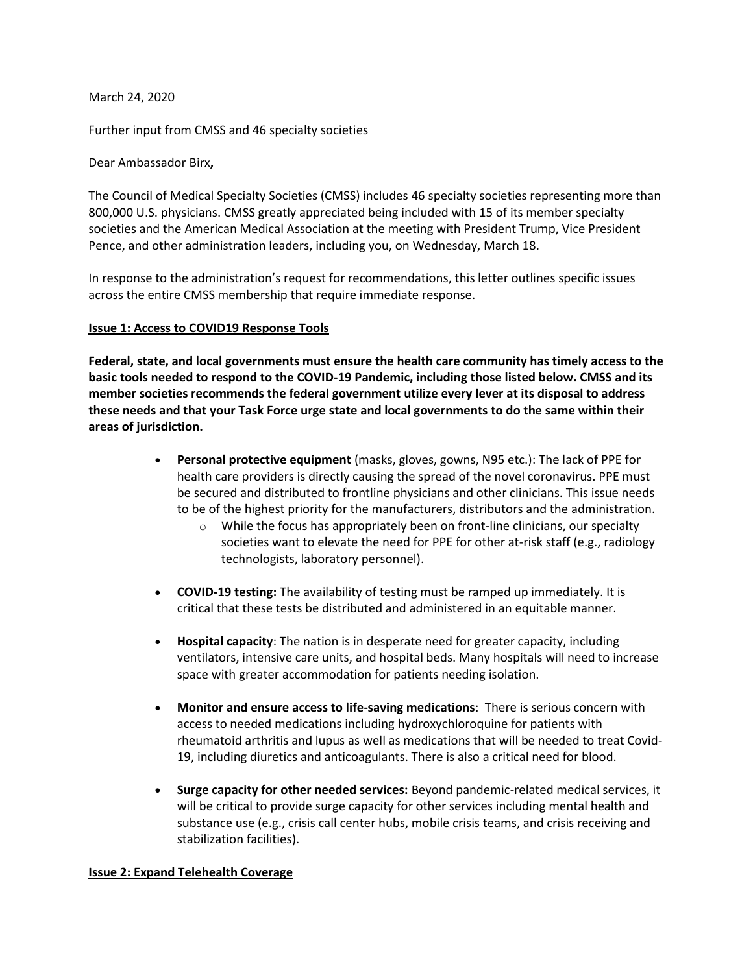March 24, 2020

Further input from CMSS and 46 specialty societies

Dear Ambassador Birx**,** 

The Council of Medical Specialty Societies (CMSS) includes 46 specialty societies representing more than 800,000 U.S. physicians. CMSS greatly appreciated being included with 15 of its member specialty societies and the American Medical Association at the meeting with President Trump, Vice President Pence, and other administration leaders, including you, on Wednesday, March 18.

In response to the administration's request for recommendations, this letter outlines specific issues across the entire CMSS membership that require immediate response.

## **Issue 1: Access to COVID19 Response Tools**

**Federal, state, and local governments must ensure the health care community has timely access to the basic tools needed to respond to the COVID-19 Pandemic, including those listed below. CMSS and its member societies recommends the federal government utilize every lever at its disposal to address these needs and that your Task Force urge state and local governments to do the same within their areas of jurisdiction.** 

- **Personal protective equipment** (masks, gloves, gowns, N95 etc.): The lack of PPE for health care providers is directly causing the spread of the novel coronavirus. PPE must be secured and distributed to frontline physicians and other clinicians. This issue needs to be of the highest priority for the manufacturers, distributors and the administration.
	- o While the focus has appropriately been on front-line clinicians, our specialty societies want to elevate the need for PPE for other at-risk staff (e.g., radiology technologists, laboratory personnel).
- **COVID-19 testing:** The availability of testing must be ramped up immediately. It is critical that these tests be distributed and administered in an equitable manner.
- **Hospital capacity**: The nation is in desperate need for greater capacity, including ventilators, intensive care units, and hospital beds. Many hospitals will need to increase space with greater accommodation for patients needing isolation.
- **Monitor and ensure access to life-saving medications**: There is serious concern with access to needed medications including hydroxychloroquine for patients with rheumatoid arthritis and lupus as well as medications that will be needed to treat Covid-19, including diuretics and anticoagulants. There is also a critical need for blood.
- **Surge capacity for other needed services:** Beyond pandemic-related medical services, it will be critical to provide surge capacity for other services including mental health and substance use (e.g., crisis call center hubs, mobile crisis teams, and crisis receiving and stabilization facilities).

## **Issue 2: Expand Telehealth Coverage**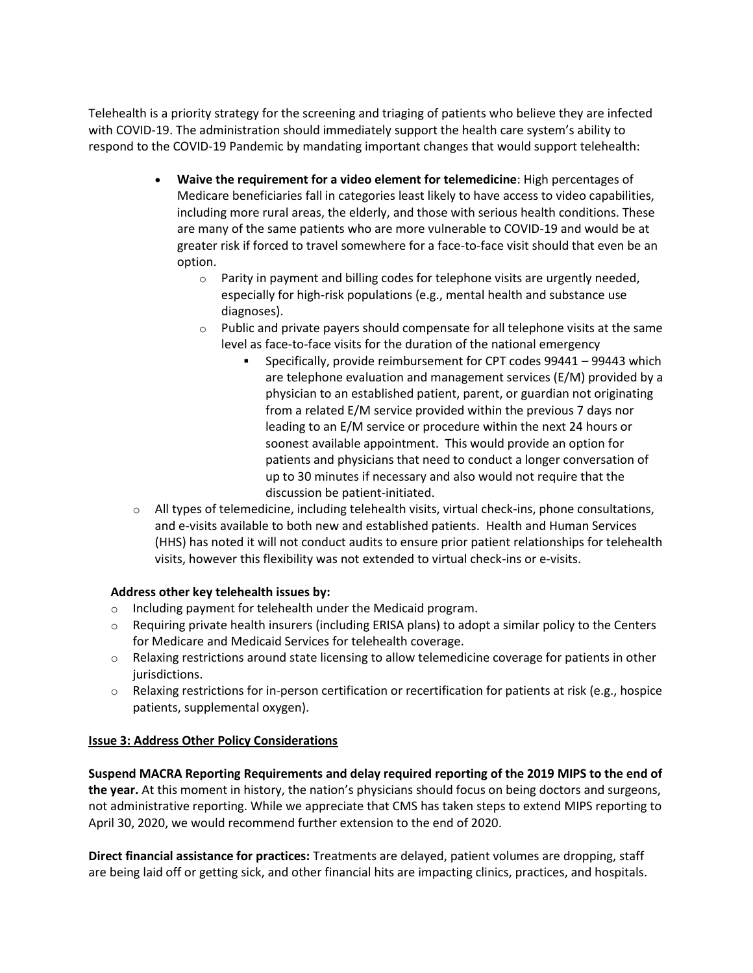Telehealth is a priority strategy for the screening and triaging of patients who believe they are infected with COVID-19. The administration should immediately support the health care system's ability to respond to the COVID-19 Pandemic by mandating important changes that would support telehealth:

- **Waive the requirement for a video element for telemedicine**: High percentages of Medicare beneficiaries fall in categories least likely to have access to video capabilities, including more rural areas, the elderly, and those with serious health conditions. These are many of the same patients who are more vulnerable to COVID-19 and would be at greater risk if forced to travel somewhere for a face-to-face visit should that even be an option.
	- $\circ$  Parity in payment and billing codes for telephone visits are urgently needed, especially for high-risk populations (e.g., mental health and substance use diagnoses).
	- $\circ$  Public and private payers should compensate for all telephone visits at the same level as face-to-face visits for the duration of the national emergency
		- Specifically, provide reimbursement for CPT codes 99441 99443 which are telephone evaluation and management services (E/M) provided by a physician to an established patient, parent, or guardian not originating from a related E/M service provided within the previous 7 days nor leading to an E/M service or procedure within the next 24 hours or soonest available appointment. This would provide an option for patients and physicians that need to conduct a longer conversation of up to 30 minutes if necessary and also would not require that the discussion be patient-initiated.
- $\circ$  All types of telemedicine, including telehealth visits, virtual check-ins, phone consultations, and e-visits available to both new and established patients. Health and Human Services (HHS) has noted it will not conduct audits to ensure prior patient relationships for telehealth visits, however this flexibility was not extended to virtual check-ins or e-visits.

## **Address other key telehealth issues by:**

- o Including payment for telehealth under the Medicaid program.
- $\circ$  Requiring private health insurers (including ERISA plans) to adopt a similar policy to the Centers for Medicare and Medicaid Services for telehealth coverage.
- $\circ$  Relaxing restrictions around state licensing to allow telemedicine coverage for patients in other jurisdictions.
- $\circ$  Relaxing restrictions for in-person certification or recertification for patients at risk (e.g., hospice patients, supplemental oxygen).

## **Issue 3: Address Other Policy Considerations**

**Suspend MACRA Reporting Requirements and delay required reporting of the 2019 MIPS to the end of the year.** At this moment in history, the nation's physicians should focus on being doctors and surgeons, not administrative reporting. While we appreciate that CMS has taken steps to extend MIPS reporting to April 30, 2020, we would recommend further extension to the end of 2020.

**Direct financial assistance for practices:** Treatments are delayed, patient volumes are dropping, staff are being laid off or getting sick, and other financial hits are impacting clinics, practices, and hospitals.